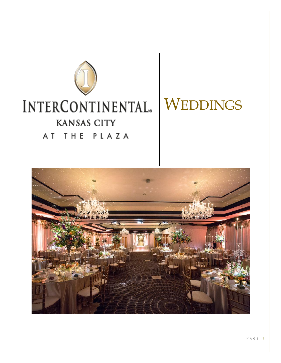

# **WEDDINGS**

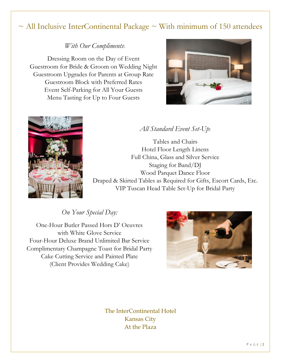# $\sim$  All Inclusive InterContinental Package  $\sim$  With minimum of 150 attendees

### *With Our Compliments*:

Dressing Room on the Day of Event Guestroom for Bride & Groom on Wedding Night Guestroom Upgrades for Parents at Group Rate Guestroom Block with Preferred Rates Event Self-Parking for All Your Guests Menu Tasting for Up to Four Guests





# *All Standard Event Set-Up*:

Tables and Chairs Hotel Floor Length Linens Full China, Glass and Silver Service Staging for Band/DJ Wood Parquet Dance Floor Draped & Skirted Tables as Required for Gifts, Escort Cards, Etc. VIP Tuscan Head Table Set-Up for Bridal Party

*On Your Special Day:*

One-Hour Butler Passed Hors D' Oeuvres with White Glove Service Four-Hour Deluxe Brand Unlimited Bar Service Complimentary Champagne Toast for Bridal Party Cake Cutting Service and Painted Plate (Client Provides Wedding Cake)



The InterContinental Hotel Kansas City At the Plaza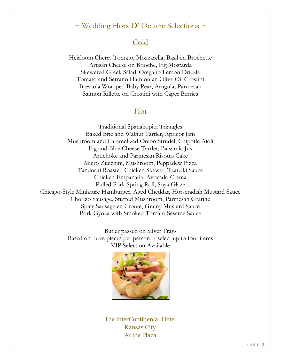# $\sim$  Wedding Hors D' Oeuvre Selections  $\sim$

# Cold

Heirloom Cherry Tomato, Mozzarella, Basil en Brochette Artisan Cheese on Brioche, Fig Mostarda Skewered Greek Salad, Oregano Lemon Drizzle Tomato and Serrano Ham on an Olive Oil Crostini Bresaola Wrapped Baby Pear, Arugula, Parmesan Salmon Rillette on Crostini with Caper Berries

# Hot

Traditional Spanakopita Triangles Baked Brie and Walnut Tartlet, Apricot Jam Mushroom and Caramelized Onion Strudel, Chipotle Aioli Fig and Blue Cheese Tartlet, Balsamic Jus Artichoke and Parmesan Risotto Cake Micro Zucchini, Mushroom, Peppadew Pizza Tandoori Roasted Chicken Skewer, Tzatziki Sauce Chicken Empanada, Avocado Crema Pulled Pork Spring Roll, Soya Glaze Chicago-Style Miniature Hamburger, Aged Cheddar, Horseradish Mustard Sauce Chorizo Sausage, Stuffed Mushroom, Parmesan Gratine Spicy Sausage en Croute, Grainy Mustard Sauce Pork Gyoza with Smoked Tomato Sesame Sauce

> Butler passed on Silver Trays Based on three pieces per person  $\sim$  select up to four items VIP Selection Available



The InterContinental Hotel Kansas City At the Plaza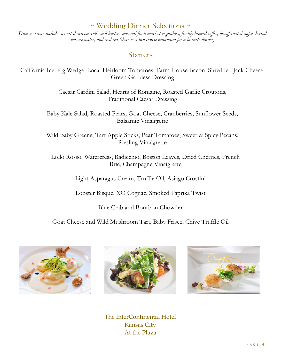# $\sim$  Wedding Dinner Selections  $\sim$

*Dinner service includes assorted artisan rolls and butter, seasonal fresh market vegetables, freshly brewed coffee, decaffeinated coffee, herbal tea, ice water, and iced tea (there is a two course minimum for a la carte dinner)* 

# Starters

California Iceberg Wedge, Local Heirloom Tomatoes, Farm House Bacon, Shredded Jack Cheese, Green Goddess Dressing

> Caesar Cardini Salad, Hearts of Romaine, Roasted Garlic Croutons, Traditional Caesar Dressing

Baby Kale Salad, Roasted Pears, Goat Cheese, Cranberries, Sunflower Seeds, Balsamic Vinaigrette

Wild Baby Greens, Tart Apple Sticks, Pear Tomatoes, Sweet & Spicy Pecans, Riesling Vinaigrette

Lollo Rosso, Watercress, Radicchio, Boston Leaves, Dried Cherries, French Brie, Champagne Vinaigrette

Light Asparagus Cream, Truffle Oil, Asiago Crostini

Lobster Bisque, XO Cognac, Smoked Paprika Twist

Blue Crab and Bourbon Chowder

Goat Cheese and Wild Mushroom Tart, Baby Frisee, Chive Truffle Oil







The InterContinental Hotel Kansas City At the Plaza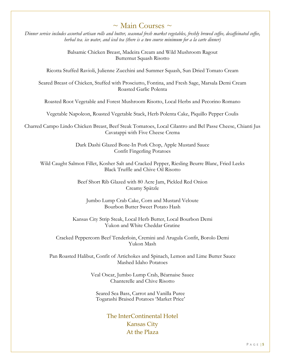# $\sim$  Main Courses  $\sim$

*Dinner service includes assorted artisan rolls and butter, seasonal fresh market vegetables, freshly brewed coffee, decaffeinated coffee, herbal tea, ice water, and iced tea (there is a two course minimum for a la carte dinner)* 

> Balsamic Chicken Breast, Madeira Cream and Wild Mushroom Ragout Butternut Squash Risotto

Ricotta Stuffed Ravioli, Julienne Zucchini and Summer Squash, Sun Dried Tomato Cream

Seared Breast of Chicken, Stuffed with Prosciutto, Fontina, and Fresh Sage, Marsala Demi Cream Roasted Garlic Polenta

Roasted Root Vegetable and Forest Mushroom Risotto, Local Herbs and Pecorino Romano

Vegetable Napoleon, Roasted Vegetable Stack, Herb Polenta Cake, Piquillo Pepper Coulis

Charred Campo Lindo Chicken Breast, Beef Steak Tomatoes, Local Cilantro and Bel Passe Cheese, Chianti Jus Cavatappi with Five Cheese Crema

> Dark Dashi Glazed Bone-In Pork Chop, Apple Mustard Sauce Confit Fingerling Potatoes

Wild Caught Salmon Fillet, Kosher Salt and Cracked Pepper, Riesling Beurre Blanc, Fried Leeks Black Truffle and Chive Oil Risotto

> Beef Short Rib Glazed with 80 Acre Jam, Pickled Red Onion Creamy Spätzle

Jumbo Lump Crab Cake, Corn and Mustard Veloute Bourbon Butter Sweet Potato Hash

Kansas City Strip Steak, Local Herb Butter, Local Bourbon Demi Yukon and White Cheddar Gratine

Cracked Peppercorn Beef Tenderloin, Cremini and Arugula Confit, Borolo Demi Yukon Mash

Pan Roasted Halibut, Confit of Artichokes and Spinach, Lemon and Lime Butter Sauce Mashed Idaho Potatoes

> Veal Oscar, Jumbo Lump Crab, Béarnaise Sauce Chanterelle and Chive Risotto

Seared Sea Bass, Carrot and Vanilla Puree Togarashi Braised Potatoes 'Market Price'

> The InterContinental Hotel Kansas City At the Plaza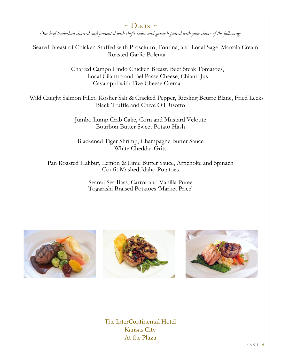# $\sim$  Duets  $\sim$

*Our beef tenderloin charred and presented with chef's sauce and garnish paired with your choice of the following:*

Seared Breast of Chicken Stuffed with Prosciutto, Fontina, and Local Sage, Marsala Cream Roasted Garlic Polenta

> Charred Campo Lindo Chicken Breast, Beef Steak Tomatoes, Local Cilantro and Bel Passe Cheese, Chianti Jus Cavatappi with Five Cheese Crema

Wild Caught Salmon Fillet, Kosher Salt & Cracked Pepper, Riesling Beurre Blanc, Fried Leeks Black Truffle and Chive Oil Risotto

> Jumbo Lump Crab Cake, Corn and Mustard Veloute Bourbon Butter Sweet Potato Hash

Blackened Tiger Shrimp, Champagne Butter Sauce White Cheddar Grits

Pan Roasted Halibut, Lemon & Lime Butter Sauce, Artichoke and Spinach Confit Mashed Idaho Potatoes

> Seared Sea Bass, Carrot and Vanilla Puree Togarashi Braised Potatoes 'Market Price'







The InterContinental Hotel Kansas City At the Plaza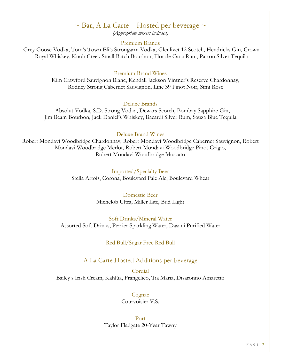### $\sim$  Bar, A La Carte – Hosted per beverage  $\sim$

*(Appropriate mixers included)*

#### Premium Brands

Grey Goose Vodka, Tom's Town Eli's Strongarm Vodka, Glenlivet 12 Scotch, Hendricks Gin, Crown Royal Whiskey, Knob Creek Small Batch Bourbon, Flor de Cana Rum, Patron Silver Tequila

#### Premium Brand Wines

Kim Crawford Sauvignon Blanc, Kendall Jackson Vintner's Reserve Chardonnay, Rodney Strong Cabernet Sauvignon, Line 39 Pinot Noir, Simi Rose

#### Deluxe Brands

Absolut Vodka, S.D. Strong Vodka, Dewars Scotch, Bombay Sapphire Gin, Jim Beam Bourbon, Jack Daniel's Whiskey, Bacardi Silver Rum, Sauza Blue Tequila

#### Deluxe Brand Wines

Robert Mondavi Woodbridge Chardonnay, Robert Mondavi Woodbridge Cabernet Sauvignon, Robert Mondavi Woodbridge Merlot, Robert Mondavi Woodbridge Pinot Grigio, Robert Mondavi Woodbridge Moscato

> Imported/Specialty Beer Stella Artois, Corona, Boulevard Pale Ale, Boulevard Wheat

> > Domestic Beer Michelob Ultra, Miller Lite, Bud Light

Soft Drinks/Mineral Water Assorted Soft Drinks, Perrier Sparkling Water, Dasani Purified Water

Red Bull/Sugar Free Red Bull

#### A La Carte Hosted Additions per beverage

Cordial Bailey's Irish Cream, Kahlúa, Frangelico, Tia Maria, Disaronno Amaretto

> Cognac Courvoisier V.S.

Port Taylor Fladgate 20-Year Tawny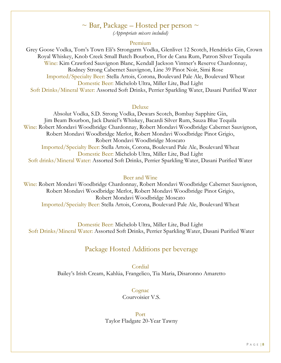# $\sim$  Bar, Package – Hosted per person  $\sim$

*(Appropriate mixers included)*

#### Premium

Grey Goose Vodka, Tom's Town Eli's Strongarm Vodka, Glenlivet 12 Scotch, Hendricks Gin, Crown Royal Whiskey, Knob Creek Small Batch Bourbon, Flor de Cana Rum, Patron Silver Tequila Wine: Kim Crawford Sauvignon Blanc, Kendall Jackson Vintner's Reserve Chardonnay, Rodney Strong Cabernet Sauvignon, Line 39 Pinot Noir, Simi Rose Imported/Specialty Beer: Stella Artois, Corona, Boulevard Pale Ale, Boulevard Wheat Domestic Beer: Michelob Ultra, Miller Lite, Bud Light Soft Drinks/Mineral Water: Assorted Soft Drinks, Perrier Sparkling Water, Dasani Purified Water

#### Deluxe

Absolut Vodka, S.D. Strong Vodka, Dewars Scotch, Bombay Sapphire Gin, Jim Beam Bourbon, Jack Daniel's Whiskey, Bacardi Silver Rum, Sauza Blue Tequila Wine: Robert Mondavi Woodbridge Chardonnay, Robert Mondavi Woodbridge Cabernet Sauvignon, Robert Mondavi Woodbridge Merlot, Robert Mondavi Woodbridge Pinot Grigio, Robert Mondavi Woodbridge Moscato Imported/Specialty Beer: Stella Artois, Corona, Boulevard Pale Ale, Boulevard Wheat Domestic Beer: Michelob Ultra, Miller Lite, Bud Light Soft drinks/Mineral Water: Assorted Soft Drinks, Perrier Sparkling Water, Dasani Purified Water

#### Beer and Wine

Wine: Robert Mondavi Woodbridge Chardonnay, Robert Mondavi Woodbridge Cabernet Sauvignon, Robert Mondavi Woodbridge Merlot, Robert Mondavi Woodbridge Pinot Grigio, Robert Mondavi Woodbridge Moscato Imported/Specialty Beer: Stella Artois, Corona, Boulevard Pale Ale, Boulevard Wheat

Domestic Beer: Michelob Ultra, Miller Lite, Bud Light Soft Drinks/Mineral Water: Assorted Soft Drinks, Perrier Sparkling Water, Dasani Purified Water

### Package Hosted Additions per beverage

Cordial Bailey's Irish Cream, Kahlúa, Frangelico, Tia Maria, Disaronno Amaretto

> Cognac Courvoisier V.S.

#### Port Taylor Fladgate 20-Year Tawny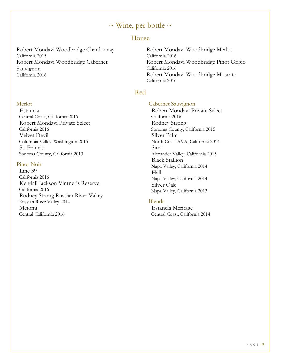# $\sim$  Wine, per bottle  $\sim$

### House

Robert Mondavi Woodbridge Chardonnay California 2015 Robert Mondavi Woodbridge Cabernet Sauvignon California 2016

#### **Merlot**

 Estancia Central Coast, California 2016 Robert Mondavi Private Select California 2016 Velvet Devil Columbia Valley, Washington 2015 St. Francis Sonoma County, California 2013

#### Pinot Noir

 Line 39 California 2016 Kendall Jackson Vintner's Reserve California 2016 Rodney Strong Russian River Valley Russian River Valley 2014 Meiomi Central California 2016

Robert Mondavi Woodbridge Merlot California 2016 Robert Mondavi Woodbridge Pinot Grigio California 2016 Robert Mondavi Woodbridge Moscato California 2016

#### Red

#### Cabernet Sauvignon

 Robert Mondavi Private Select California 2016 Rodney Strong Sonoma County, California 2015 Silver Palm North Coast AVA, California 2014 Simi Alexander Valley, California 2015 Black Stallion Napa Valley, California 2014 Hall Napa Valley, California 2014 Silver Oak Napa Valley, California 2013

#### Blends

 Estancia Meritage Central Coast, California 2014